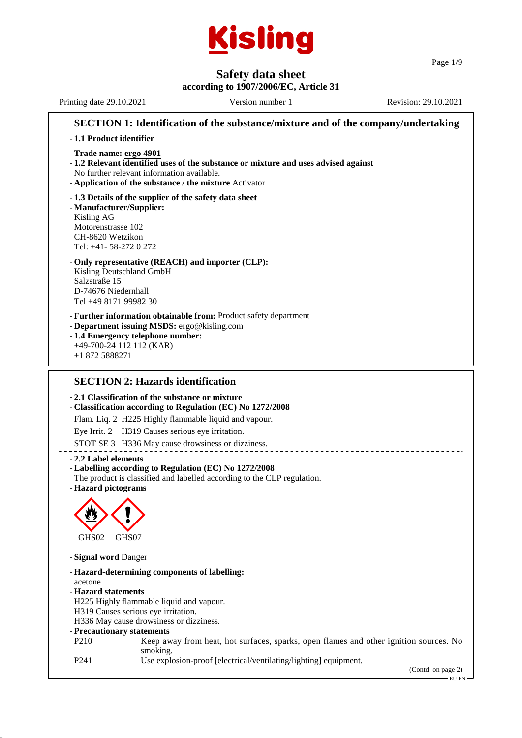

Page 1/9

**Safety data sheet according to 1907/2006/EC, Article 31** Printing date 29.10.2021 Version number 1 Revision: 29.10.2021 **SECTION 1: Identification of the substance/mixture and of the company/undertaking** - **1.1 Product identifier** - **Trade name: ergo 4901** - **1.2 Relevant identified uses of the substance or mixture and uses advised against** No further relevant information available. - **Application of the substance / the mixture** Activator - **1.3 Details of the supplier of the safety data sheet** - **Manufacturer/Supplier:** Kisling AG Motorenstrasse 102 CH-8620 Wetzikon Tel: +41- 58-272 0 272 - **Only representative (REACH) and importer (CLP):** Kisling Deutschland GmbH Salzstraße 15 D-74676 Niedernhall Tel +49 8171 99982 30 - **Further information obtainable from:** Product safety department - **Department issuing MSDS:** ergo@kisling.com - **1.4 Emergency telephone number:** +49-700-24 112 112 (KAR) +1 872 5888271 **SECTION 2: Hazards identification** - **2.1 Classification of the substance or mixture** - **Classification according to Regulation (EC) No 1272/2008** Flam. Liq. 2 H225 Highly flammable liquid and vapour. Eye Irrit. 2 H319 Causes serious eye irritation.

STOT SE 3 H336 May cause drowsiness or dizziness.

#### - **2.2 Label elements**

#### - **Labelling according to Regulation (EC) No 1272/2008**

The product is classified and labelled according to the CLP regulation.

- **Hazard pictograms**



- **Signal word** Danger

- **Hazard-determining components of labelling:** acetone - **Hazard statements** H225 Highly flammable liquid and vapour. H319 Causes serious eye irritation. H336 May cause drowsiness or dizziness. - **Precautionary statements** P210 Keep away from heat, hot surfaces, sparks, open flames and other ignition sources. No smoking. P241 Use explosion-proof [electrical/ventilating/lighting] equipment.

(Contd. on page 2)

EU-EN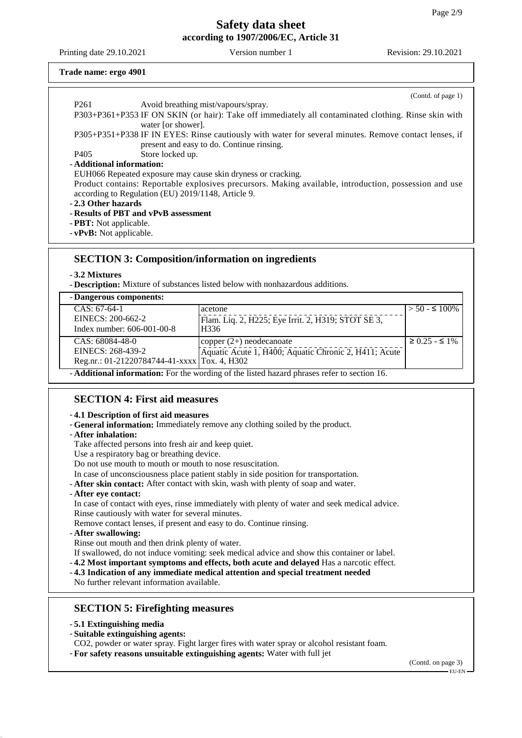Printing date 29.10.2021 Version number 1 Revision: 29.10.2021

#### **Trade name: ergo 4901**

|                                                              | (Cond. of page 1)                                                                                                          |  |  |
|--------------------------------------------------------------|----------------------------------------------------------------------------------------------------------------------------|--|--|
| P <sub>261</sub>                                             | Avoid breathing mist/vapours/spray.                                                                                        |  |  |
|                                                              | P303+P361+P353 IF ON SKIN (or hair): Take off immediately all contaminated clothing. Rinse skin with<br>water [or shower]. |  |  |
|                                                              | P305+P351+P338 IF IN EYES: Rinse cautiously with water for several minutes. Remove contact lenses, if                      |  |  |
|                                                              | present and easy to do. Continue rinsing.                                                                                  |  |  |
| P405                                                         | Store locked up.                                                                                                           |  |  |
| - Additional information:                                    |                                                                                                                            |  |  |
| EUH066 Repeated exposure may cause skin dryness or cracking. |                                                                                                                            |  |  |
|                                                              | Product contains: Reportable explosives precursors. Making available, introduction, possession and use                     |  |  |
|                                                              | according to Regulation (EU) 2019/1148, Article 9.                                                                         |  |  |
| -2.3 Other hazards                                           |                                                                                                                            |  |  |
| - Results of PBT and vPvB assessment                         |                                                                                                                            |  |  |
| - <b>PBT</b> : Not applicable.                               |                                                                                                                            |  |  |

- **vPvB:** Not applicable.

## **SECTION 3: Composition/information on ingredients**

### - **3.2 Mixtures**

- **Description:** Mixture of substances listed below with nonhazardous additions.

| - Dangerous components:                                                                            |                                                       |                         |  |  |
|----------------------------------------------------------------------------------------------------|-------------------------------------------------------|-------------------------|--|--|
| $CAS: 67-64-1$                                                                                     | acetone                                               | $>$ 50 - $\leq$ 100%    |  |  |
| EINECS: 200-662-2                                                                                  | Flam. Liq. 2, H225; Eye Irrit. 2, H319; STOT SE 3,    |                         |  |  |
| Index number: $606-001-00-8$                                                                       | H336                                                  |                         |  |  |
| $CAS: 68084-48-0$                                                                                  | $\text{copper} (2+) \text{ neodecanoate}$             | $\geq$ 0.25 - $\leq$ 1% |  |  |
| EINECS: 268-439-2                                                                                  | Aquatic Acute 1, H400; Aquatic Chronic 2, H411; Acute |                         |  |  |
| Reg.nr.: 01-21220784744-41-xxxx Tox. 4, H302                                                       |                                                       |                         |  |  |
| - <b>Additional information:</b> For the wording of the listed hazard phrases refer to section 16. |                                                       |                         |  |  |

# **SECTION 4: First aid measures**

#### - **4.1 Description of first aid measures**

- **General information:** Immediately remove any clothing soiled by the product.
- **After inhalation:**
- Take affected persons into fresh air and keep quiet.
- Use a respiratory bag or breathing device.
- Do not use mouth to mouth or mouth to nose resuscitation.
- In case of unconsciousness place patient stably in side position for transportation.
- **After skin contact:** After contact with skin, wash with plenty of soap and water.

### - **After eye contact:**

In case of contact with eyes, rinse immediately with plenty of water and seek medical advice. Rinse cautiously with water for several minutes.

Remove contact lenses, if present and easy to do. Continue rinsing.

- **After swallowing:**

Rinse out mouth and then drink plenty of water.

- If swallowed, do not induce vomiting: seek medical advice and show this container or label.
- **4.2 Most important symptoms and effects, both acute and delayed** Has a narcotic effect.

### - **4.3 Indication of any immediate medical attention and special treatment needed**

No further relevant information available.

## **SECTION 5: Firefighting measures**

- **5.1 Extinguishing media**
- **Suitable extinguishing agents:**

CO2, powder or water spray. Fight larger fires with water spray or alcohol resistant foam.

- **For safety reasons unsuitable extinguishing agents:** Water with full jet

(Contd. on page 3) EU-EN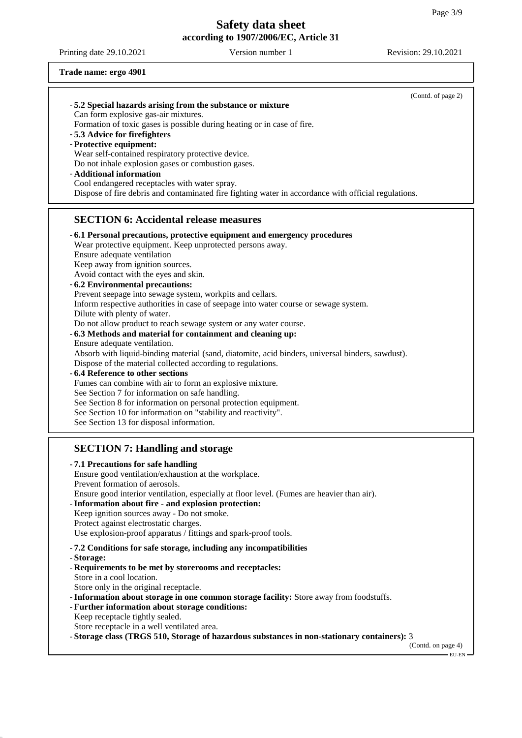Printing date 29.10.2021 Version number 1 Revision: 29.10.2021

### **Trade name: ergo 4901**

| -5.2 Special hazards arising from the substance or mixture                                           | (Contd. of page 2) |
|------------------------------------------------------------------------------------------------------|--------------------|
| Can form explosive gas-air mixtures.                                                                 |                    |
| Formation of toxic gases is possible during heating or in case of fire.                              |                    |
| -5.3 Advice for firefighters                                                                         |                    |
| - Protective equipment:                                                                              |                    |
| Wear self-contained respiratory protective device.                                                   |                    |
| Do not inhale explosion gases or combustion gases.                                                   |                    |
| - Additional information                                                                             |                    |
| Cool endangered receptacles with water spray.                                                        |                    |
| Dispose of fire debris and contaminated fire fighting water in accordance with official regulations. |                    |
| <b>SECTION 6: Accidental release measures</b>                                                        |                    |
| - 6.1 Personal precautions, protective equipment and emergency procedures                            |                    |
| Wear protective equipment. Keep unprotected persons away.                                            |                    |
| Ensure adequate ventilation                                                                          |                    |
| Keep away from ignition sources.                                                                     |                    |
| Avoid contact with the eyes and skin.                                                                |                    |
| - 6.2 Environmental precautions:                                                                     |                    |
| Prevent seepage into sewage system, workpits and cellars.                                            |                    |
| Inform respective authorities in case of seepage into water course or sewage system.                 |                    |
| Dilute with plenty of water.                                                                         |                    |
| Do not allow product to reach sewage system or any water course.                                     |                    |
| - 6.3 Methods and material for containment and cleaning up:                                          |                    |
| Ensure adequate ventilation.                                                                         |                    |
| Absorb with liquid-binding material (sand, diatomite, acid binders, universal binders, sawdust).     |                    |
| Dispose of the material collected according to regulations.<br>-6.4 Reference to other sections      |                    |
| Fumes can combine with air to form an explosive mixture.                                             |                    |
| See Section 7 for information on safe handling.                                                      |                    |
| See Section 8 for information on personal protection equipment.                                      |                    |
| See Section 10 for information on "stability and reactivity".                                        |                    |
| See Section 13 for disposal information.                                                             |                    |
|                                                                                                      |                    |
| <b>SECTION 7: Handling and storage</b>                                                               |                    |
| -7.1 Precautions for safe handling                                                                   |                    |
| Ensure good ventilation/exhaustion at the workplace.                                                 |                    |
| Prevent formation of aerosols.                                                                       |                    |
| Ensure good interior ventilation, especially at floor level. (Fumes are heavier than air).           |                    |
| - Information about fire - and explosion protection:<br>Keep ignition sources away - Do not smoke.   |                    |
| Protect against electrostatic charges.                                                               |                    |
| Use explosion-proof apparatus / fittings and spark-proof tools.                                      |                    |
| -7.2 Conditions for safe storage, including any incompatibilities                                    |                    |
| - Storage:                                                                                           |                    |
| - Requirements to be met by storerooms and receptacles:                                              |                    |
| Store in a cool location.                                                                            |                    |
| Store only in the original receptacle.                                                               |                    |
| - Information about storage in one common storage facility: Store away from foodstuffs.              |                    |
| - Further information about storage conditions:                                                      |                    |
| Keep receptacle tightly sealed.                                                                      |                    |

Store receptacle in a well ventilated area.

- **Storage class (TRGS 510, Storage of hazardous substances in non-stationary containers):** 3

(Contd. on page 4) EU-EN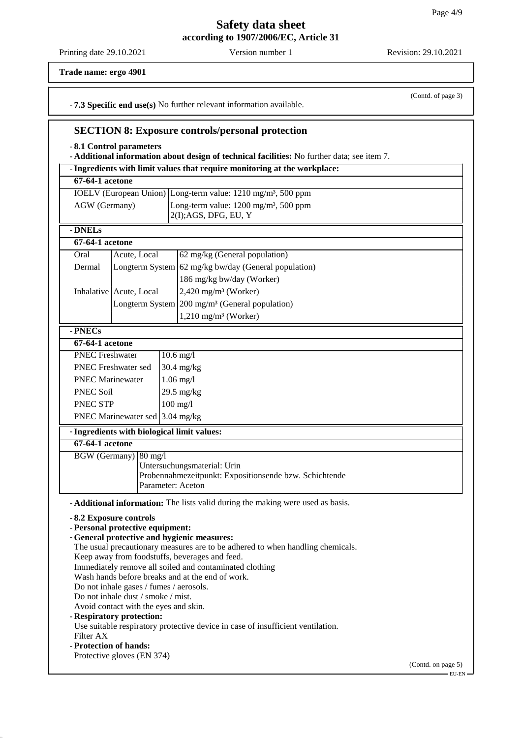(Contd. of page 3)

## **Safety data sheet according to 1907/2006/EC, Article 31**

Printing date 29.10.2021 Version number 1 Revision: 29.10.2021

**Trade name: ergo 4901**

- **7.3 Specific end use(s)** No further relevant information available.

### **SECTION 8: Exposure controls/personal protection**

- **8.1 Control parameters**

- **Additional information about design of technical facilities:** No further data; see item 7.

- **Ingredients with limit values that require monitoring at the workplace: 67-64-1 acetone** IOELV (European Union) Long-term value: 1210 mg/m³, 500 ppm AGW (Germany) Long-term value: 1200 mg/m<sup>3</sup>, 500 ppm 2(I);AGS, DFG, EU, Y - **DNELs 67-64-1 acetone** Oral Acute, Local 62 mg/kg (General population) Dermal  $\vert$  Longterm System 62 mg/kg bw/day (General population) 186 mg/kg bw/day (Worker) Inhalative  $\vert$  Acute, Local  $\vert$  2,420 mg/m<sup>3</sup> (Worker) Longterm System  $200 \text{ mg/m}^3$  (General population) 1,210 mg/m³ (Worker) - **PNECs 67-64-1 acetone** PNEC Freshwater 10.6 mg/l PNEC Freshwater sed 30.4 mg/kg PNEC Marinewater 1.06 mg/l PNEC Soil 29.5 mg/kg PNEC STP 100 mg/l PNEC Marinewater sed 3.04 mg/kg - **Ingredients with biological limit values: 67-64-1 acetone** BGW (Germany) 80 mg/l Untersuchungsmaterial: Urin Probennahmezeitpunkt: Expositionsende bzw. Schichtende Parameter: Aceton - **Additional information:** The lists valid during the making were used as basis. - **8.2 Exposure controls** - **Personal protective equipment:** - **General protective and hygienic measures:** The usual precautionary measures are to be adhered to when handling chemicals. Keep away from foodstuffs, beverages and feed. Immediately remove all soiled and contaminated clothing Wash hands before breaks and at the end of work. Do not inhale gases / fumes / aerosols. Do not inhale dust / smoke / mist. Avoid contact with the eyes and skin. - **Respiratory protection:** Use suitable respiratory protective device in case of insufficient ventilation. Filter AX - **Protection of hands:** Protective gloves (EN 374) (Contd. on page 5) EU-EN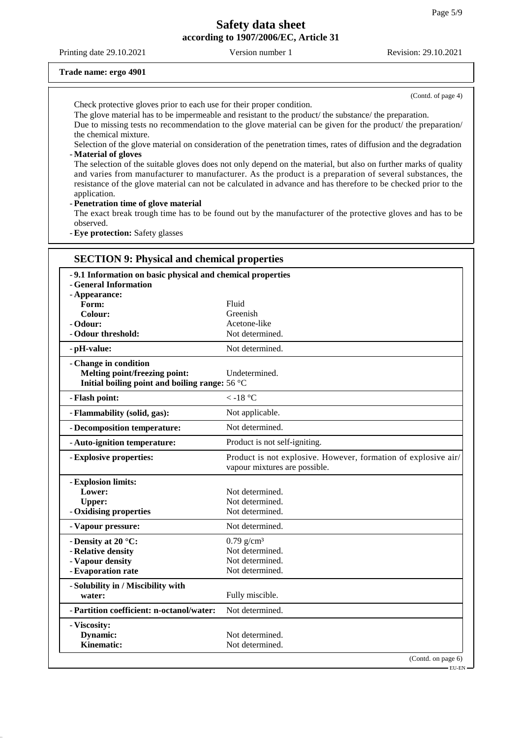Printing date 29.10.2021 Version number 1 Revision: 29.10.2021

#### **Trade name: ergo 4901**

(Contd. of page 4)

Check protective gloves prior to each use for their proper condition.

The glove material has to be impermeable and resistant to the product/ the substance/ the preparation. Due to missing tests no recommendation to the glove material can be given for the product/ the preparation/ the chemical mixture.

Selection of the glove material on consideration of the penetration times, rates of diffusion and the degradation - **Material of gloves**

The selection of the suitable gloves does not only depend on the material, but also on further marks of quality and varies from manufacturer to manufacturer. As the product is a preparation of several substances, the resistance of the glove material can not be calculated in advance and has therefore to be checked prior to the application.

- **Penetration time of glove material**

The exact break trough time has to be found out by the manufacturer of the protective gloves and has to be observed.

- **Eye protection:** Safety glasses

## **SECTION 9: Physical and chemical properties** - **9.1 Information on basic physical and chemical properties** - **General Information** - **Appearance:** Form: Fluid Colour: Greenish - **Odour:** Acetone-like - **Odour threshold:** Not determined. - **pH-value:** Not determined. - **Change in condition Melting point/freezing point:** Undetermined. **Initial boiling point and boiling range:** 56 °C - **Flash point:**  $\langle -18 \degree \text{C} \rangle$ - **Flammability (solid, gas):** Not applicable. - **Decomposition temperature:** Not determined. - **Auto-ignition temperature:** Product is not self-igniting. - **Explosive properties:** Product is not explosive. However, formation of explosive air/ vapour mixtures are possible. - **Explosion limits:** Lower: Not determined. Upper: Not determined. - **Oxidising properties** Not determined. - Vapour pressure: Not determined. - **Density at 20 °C:** 0.79 g/cm<sup>3</sup> - **Relative density** Not determined. - **Vapour density** Not determined. - **Evaporation rate** Not determined. - **Solubility in / Miscibility with water:** Fully miscible. - **Partition coefficient: n-octanol/water:** Not determined. - **Viscosity: Dynamic:** Not determined. **Kinematic:** Not determined. (Contd. on page 6)

EU-EN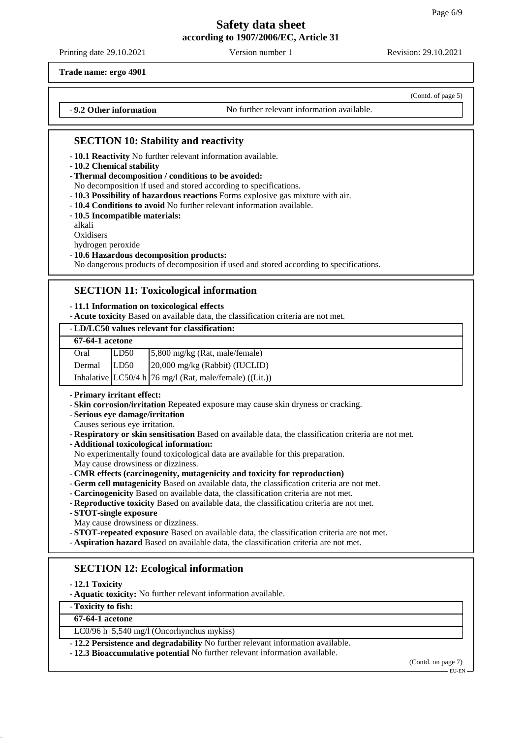Printing date 29.10.2021 Version number 1 Revision: 29.10.2021

(Contd. of page 5)

**Trade name: ergo 4901**

- **9.2 Other information** No further relevant information available.

## **SECTION 10: Stability and reactivity**

- **10.1 Reactivity** No further relevant information available.
- **10.2 Chemical stability**
- **Thermal decomposition / conditions to be avoided:**
- No decomposition if used and stored according to specifications.
- **10.3 Possibility of hazardous reactions** Forms explosive gas mixture with air.
- **10.4 Conditions to avoid** No further relevant information available.
- **10.5 Incompatible materials:**

alkali

**Oxidisers** 

hydrogen peroxide

#### - **10.6 Hazardous decomposition products:**

No dangerous products of decomposition if used and stored according to specifications.

### **SECTION 11: Toxicological information**

#### - **11.1 Information on toxicological effects**

- **Acute toxicity** Based on available data, the classification criteria are not met.

#### - **LD/LC50 values relevant for classification:**

| <b>67-64-1</b> acetone |      |                                                            |
|------------------------|------|------------------------------------------------------------|
| Oral                   | LD50 | $\frac{5,800 \text{ mg/kg}}{Rat}$ , male/female)           |
| Dermal                 | LD50 | 20,000 mg/kg (Rabbit) (IUCLID)                             |
|                        |      | Inhalative $ LC50/4 h 76$ mg/l (Rat, male/female) ((Lit.)) |

#### - **Primary irritant effect:**

- **Skin corrosion/irritation** Repeated exposure may cause skin dryness or cracking.
- **Serious eye damage/irritation**
- Causes serious eye irritation.
- **Respiratory or skin sensitisation** Based on available data, the classification criteria are not met.
- **Additional toxicological information:**
- No experimentally found toxicological data are available for this preparation.

May cause drowsiness or dizziness.

- **CMR effects (carcinogenity, mutagenicity and toxicity for reproduction)**
- **Germ cell mutagenicity** Based on available data, the classification criteria are not met.
- **Carcinogenicity** Based on available data, the classification criteria are not met.
- **Reproductive toxicity** Based on available data, the classification criteria are not met.
- **STOT-single exposure**
- May cause drowsiness or dizziness.
- **STOT-repeated exposure** Based on available data, the classification criteria are not met.
- **Aspiration hazard** Based on available data, the classification criteria are not met.

## **SECTION 12: Ecological information**

- **12.1 Toxicity**

- **Aquatic toxicity:** No further relevant information available.

- **Toxicity to fish:**

### **67-64-1 acetone**

LC0/96 h 5,540 mg/l (Oncorhynchus mykiss)

- **12.2 Persistence and degradability** No further relevant information available.

- **12.3 Bioaccumulative potential** No further relevant information available.

(Contd. on page 7)

# EU-EN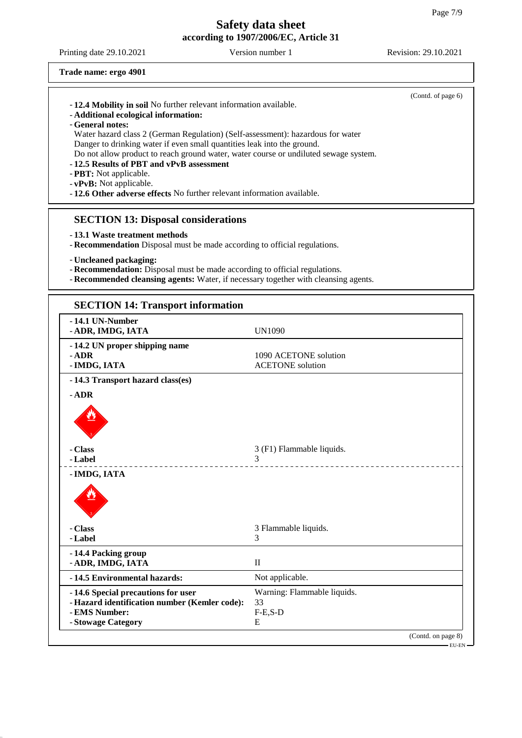┑

# **Safety data sheet according to 1907/2006/EC, Article 31**

Printing date 29.10.2021 Version number 1 Revision: 29.10.2021

(Contd. on page 8)

\_\_\_\_\_\_\_\_\_\_\_

\_\_\_\_\_\_\_\_\_\_\_\_\_\_

–<br>EU-EN –

**Trade name: ergo 4901**

de Cardinal

- **IMDG, IATA**

- **14.4 Packing group**

de Cartes

- **Label** 3

| -12.4 Mobility in soil No further relevant information available.<br>- Additional ecological information:<br>- General notes:<br>Danger to drinking water if even small quantities leak into the ground.<br>-12.5 Results of PBT and vPvB assessment<br>- PBT: Not applicable.<br>- vPvB: Not applicable.<br>- 12.6 Other adverse effects No further relevant information available. | Water hazard class 2 (German Regulation) (Self-assessment): hazardous for water<br>Do not allow product to reach ground water, water course or undiluted sewage system. | (Contd. of page 6) |
|--------------------------------------------------------------------------------------------------------------------------------------------------------------------------------------------------------------------------------------------------------------------------------------------------------------------------------------------------------------------------------------|-------------------------------------------------------------------------------------------------------------------------------------------------------------------------|--------------------|
| <b>SECTION 13: Disposal considerations</b><br>-13.1 Waste treatment methods<br>- Recommendation Disposal must be made according to official regulations.<br>- Uncleaned packaging:<br>- Recommendation: Disposal must be made according to official regulations.                                                                                                                     | - Recommended cleansing agents: Water, if necessary together with cleansing agents.                                                                                     |                    |
| <b>SECTION 14: Transport information</b>                                                                                                                                                                                                                                                                                                                                             |                                                                                                                                                                         |                    |
| -14.1 UN-Number<br>- ADR, IMDG, IATA                                                                                                                                                                                                                                                                                                                                                 | <b>UN1090</b>                                                                                                                                                           |                    |
| -14.2 UN proper shipping name<br>$-$ ADR<br>- IMDG, IATA                                                                                                                                                                                                                                                                                                                             | 1090 ACETONE solution<br><b>ACETONE</b> solution                                                                                                                        |                    |
| -14.3 Transport hazard class(es)<br>- ADR                                                                                                                                                                                                                                                                                                                                            |                                                                                                                                                                         |                    |

- **Class**  $3$  (F1) Flammable liquids.<br>3

- **Class** 3 Flammable liquids.

- **14.6 Special precautions for user** Warning: Flammable liquids.

- 14.5 Environmental hazards: Not applicable.

- **Label** 3

- **ADR, IMDG, IATA** II

- **Hazard identification number (Kemler code):** 33 - **EMS Number:** F-E,S-D - **Stowage Category** E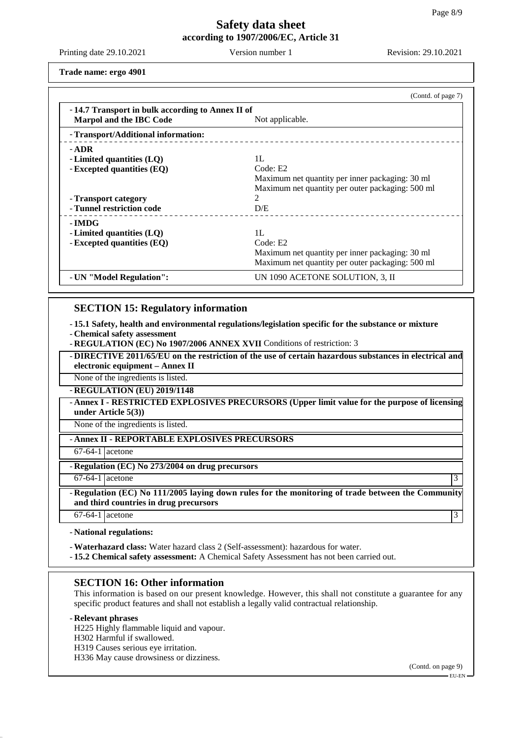Printing date 29.10.2021 Version number 1 Revision: 29.10.2021

**Trade name: ergo 4901**

|                                                                             | (Contd. of page 7)                               |
|-----------------------------------------------------------------------------|--------------------------------------------------|
| -14.7 Transport in bulk according to Annex II of<br>Marpol and the IBC Code | Not applicable.                                  |
| - Transport/Additional information:                                         |                                                  |
| - ADR                                                                       |                                                  |
| - Limited quantities $(LQ)$                                                 | 1L                                               |
| - Excepted quantities (EQ)                                                  | Code: E2                                         |
|                                                                             | Maximum net quantity per inner packaging: 30 ml  |
|                                                                             | Maximum net quantity per outer packaging: 500 ml |
| - Transport category                                                        | $\mathcal{D}_{\mathcal{L}}$                      |
| - Tunnel restriction code                                                   | D/E                                              |
| - IMDG                                                                      |                                                  |
| - Limited quantities (LQ)                                                   | 1L                                               |
| - Excepted quantities (EQ)                                                  | Code: E2                                         |
|                                                                             |                                                  |
|                                                                             | Maximum net quantity per outer packaging: 500 ml |
| - UN "Model Regulation":                                                    | UN 1090 ACETONE SOLUTION, 3, II                  |
|                                                                             | Maximum net quantity per inner packaging: 30 ml  |

## **SECTION 15: Regulatory information**

- **15.1 Safety, health and environmental regulations/legislation specific for the substance or mixture**

- **Chemical safety assessment**
- **REGULATION (EC) No 1907/2006 ANNEX XVII** Conditions of restriction: 3

- **DIRECTIVE 2011/65/EU on the restriction of the use of certain hazardous substances in electrical and electronic equipment – Annex II**

None of the ingredients is listed.

- **REGULATION (EU) 2019/1148**

- **Annex I - RESTRICTED EXPLOSIVES PRECURSORS (Upper limit value for the purpose of licensing under Article 5(3))**

None of the ingredients is listed.

- **Annex II - REPORTABLE EXPLOSIVES PRECURSORS**

67-64-1 acetone

- **Regulation (EC) No 273/2004 on drug precursors**

 $67-64-1$  acetone 3

- **Regulation (EC) No 111/2005 laying down rules for the monitoring of trade between the Community and third countries in drug precursors**

 $67-64-1$  acetone 3

- **National regulations:**

- **Waterhazard class:** Water hazard class 2 (Self-assessment): hazardous for water.

- **15.2 Chemical safety assessment:** A Chemical Safety Assessment has not been carried out.

### **SECTION 16: Other information**

This information is based on our present knowledge. However, this shall not constitute a guarantee for any specific product features and shall not establish a legally valid contractual relationship.

### - **Relevant phrases**

H225 Highly flammable liquid and vapour.

H302 Harmful if swallowed.

H319 Causes serious eye irritation.

H336 May cause drowsiness or dizziness.

(Contd. on page 9)

 $-EU-EN$